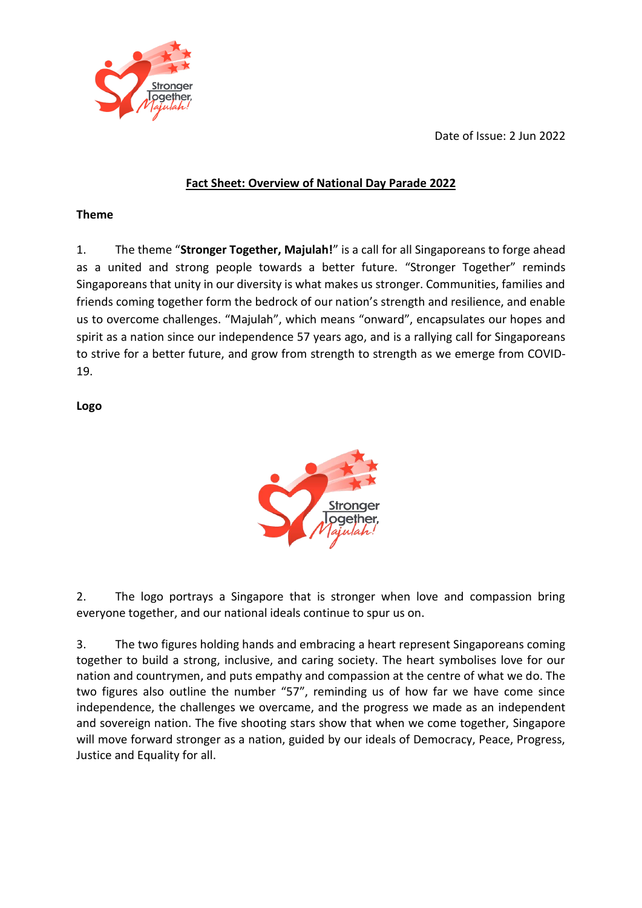

Date of Issue: 2 Jun 2022

# **Fact Sheet: Overview of National Day Parade 2022**

#### **Theme**

1. The theme "**Stronger Together, Majulah!**" is a call for all Singaporeans to forge ahead as a united and strong people towards a better future. "Stronger Together" reminds Singaporeans that unity in our diversity is what makes us stronger. Communities, families and friends coming together form the bedrock of our nation's strength and resilience, and enable us to overcome challenges. "Majulah", which means "onward", encapsulates our hopes and spirit as a nation since our independence 57 years ago, and is a rallying call for Singaporeans to strive for a better future, and grow from strength to strength as we emerge from COVID-19.

#### **Logo**



2. The logo portrays a Singapore that is stronger when love and compassion bring everyone together, and our national ideals continue to spur us on.

3. The two figures holding hands and embracing a heart represent Singaporeans coming together to build a strong, inclusive, and caring society. The heart symbolises love for our nation and countrymen, and puts empathy and compassion at the centre of what we do. The two figures also outline the number "57", reminding us of how far we have come since independence, the challenges we overcame, and the progress we made as an independent and sovereign nation. The five shooting stars show that when we come together, Singapore will move forward stronger as a nation, guided by our ideals of Democracy, Peace, Progress, Justice and Equality for all.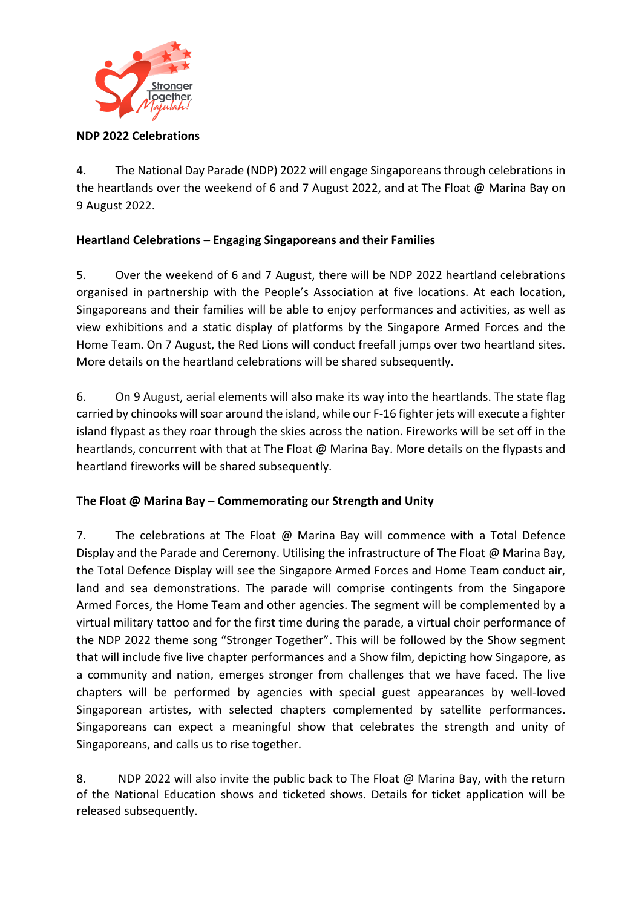

#### **NDP 2022 Celebrations**

4. The National Day Parade (NDP) 2022 will engage Singaporeans through celebrations in the heartlands over the weekend of 6 and 7 August 2022, and at The Float @ Marina Bay on 9 August 2022.

## **Heartland Celebrations – Engaging Singaporeans and their Families**

5. Over the weekend of 6 and 7 August, there will be NDP 2022 heartland celebrations organised in partnership with the People's Association at five locations. At each location, Singaporeans and their families will be able to enjoy performances and activities, as well as view exhibitions and a static display of platforms by the Singapore Armed Forces and the Home Team. On 7 August, the Red Lions will conduct freefall jumps over two heartland sites. More details on the heartland celebrations will be shared subsequently.

6. On 9 August, aerial elements will also make its way into the heartlands. The state flag carried by chinooks will soar around the island, while our F-16 fighter jets will execute a fighter island flypast as they roar through the skies across the nation. Fireworks will be set off in the heartlands, concurrent with that at The Float @ Marina Bay. More details on the flypasts and heartland fireworks will be shared subsequently.

#### **The Float @ Marina Bay – Commemorating our Strength and Unity**

7. The celebrations at The Float @ Marina Bay will commence with a Total Defence Display and the Parade and Ceremony. Utilising the infrastructure of The Float @ Marina Bay, the Total Defence Display will see the Singapore Armed Forces and Home Team conduct air, land and sea demonstrations. The parade will comprise contingents from the Singapore Armed Forces, the Home Team and other agencies. The segment will be complemented by a virtual military tattoo and for the first time during the parade, a virtual choir performance of the NDP 2022 theme song "Stronger Together". This will be followed by the Show segment that will include five live chapter performances and a Show film, depicting how Singapore, as a community and nation, emerges stronger from challenges that we have faced. The live chapters will be performed by agencies with special guest appearances by well-loved Singaporean artistes, with selected chapters complemented by satellite performances. Singaporeans can expect a meaningful show that celebrates the strength and unity of Singaporeans, and calls us to rise together.

8. NDP 2022 will also invite the public back to The Float @ Marina Bay, with the return of the National Education shows and ticketed shows. Details for ticket application will be released subsequently.